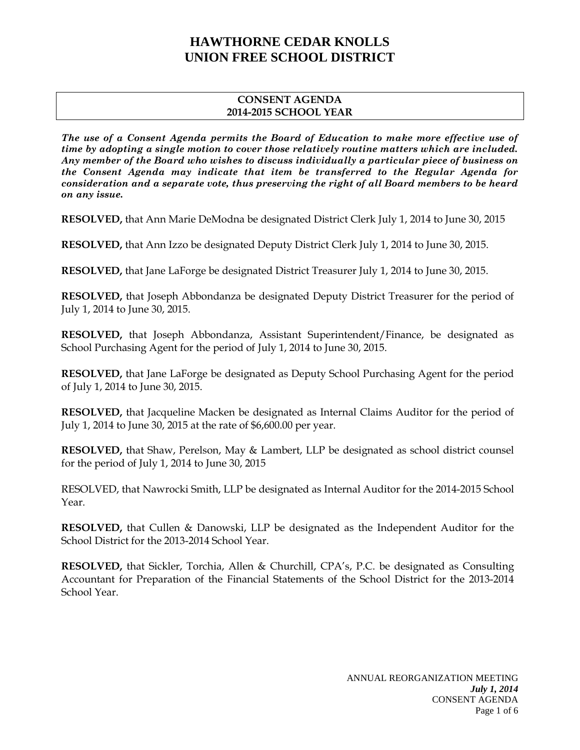### **CONSENT AGENDA 2014-2015 SCHOOL YEAR**

*The use of a Consent Agenda permits the Board of Education to make more effective use of time by adopting a single motion to cover those relatively routine matters which are included. Any member of the Board who wishes to discuss individually a particular piece of business on the Consent Agenda may indicate that item be transferred to the Regular Agenda for consideration and a separate vote, thus preserving the right of all Board members to be heard on any issue.* 

**RESOLVED,** that Ann Marie DeModna be designated District Clerk July 1, 2014 to June 30, 2015

**RESOLVED,** that Ann Izzo be designated Deputy District Clerk July 1, 2014 to June 30, 2015.

**RESOLVED,** that Jane LaForge be designated District Treasurer July 1, 2014 to June 30, 2015.

**RESOLVED,** that Joseph Abbondanza be designated Deputy District Treasurer for the period of July 1, 2014 to June 30, 2015.

**RESOLVED,** that Joseph Abbondanza, Assistant Superintendent/Finance, be designated as School Purchasing Agent for the period of July 1, 2014 to June 30, 2015.

**RESOLVED,** that Jane LaForge be designated as Deputy School Purchasing Agent for the period of July 1, 2014 to June 30, 2015.

**RESOLVED,** that Jacqueline Macken be designated as Internal Claims Auditor for the period of July 1, 2014 to June 30, 2015 at the rate of \$6,600.00 per year.

**RESOLVED,** that Shaw, Perelson, May & Lambert, LLP be designated as school district counsel for the period of July 1, 2014 to June 30, 2015

RESOLVED, that Nawrocki Smith, LLP be designated as Internal Auditor for the 2014-2015 School Year.

**RESOLVED,** that Cullen & Danowski, LLP be designated as the Independent Auditor for the School District for the 2013-2014 School Year.

**RESOLVED,** that Sickler, Torchia, Allen & Churchill, CPA's, P.C. be designated as Consulting Accountant for Preparation of the Financial Statements of the School District for the 2013-2014 School Year.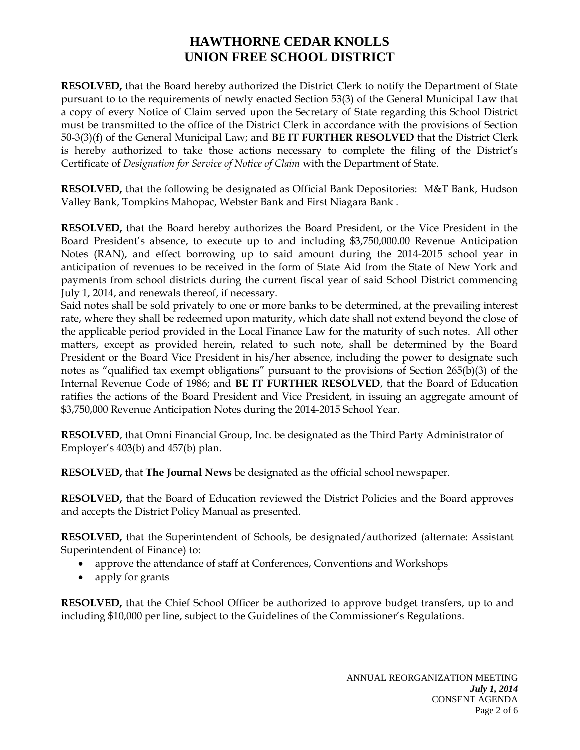**RESOLVED,** that the Board hereby authorized the District Clerk to notify the Department of State pursuant to to the requirements of newly enacted Section 53(3) of the General Municipal Law that a copy of every Notice of Claim served upon the Secretary of State regarding this School District must be transmitted to the office of the District Clerk in accordance with the provisions of Section 50-3(3)(f) of the General Municipal Law; and **BE IT FURTHER RESOLVED** that the District Clerk is hereby authorized to take those actions necessary to complete the filing of the District's Certificate of *Designation for Service of Notice of Claim* with the Department of State.

**RESOLVED,** that the following be designated as Official Bank Depositories: M&T Bank, Hudson Valley Bank, Tompkins Mahopac, Webster Bank and First Niagara Bank .

**RESOLVED,** that the Board hereby authorizes the Board President, or the Vice President in the Board President's absence, to execute up to and including \$3,750,000.00 Revenue Anticipation Notes (RAN), and effect borrowing up to said amount during the 2014-2015 school year in anticipation of revenues to be received in the form of State Aid from the State of New York and payments from school districts during the current fiscal year of said School District commencing July 1, 2014, and renewals thereof, if necessary.

Said notes shall be sold privately to one or more banks to be determined, at the prevailing interest rate, where they shall be redeemed upon maturity, which date shall not extend beyond the close of the applicable period provided in the Local Finance Law for the maturity of such notes. All other matters, except as provided herein, related to such note, shall be determined by the Board President or the Board Vice President in his/her absence, including the power to designate such notes as "qualified tax exempt obligations" pursuant to the provisions of Section 265(b)(3) of the Internal Revenue Code of 1986; and **BE IT FURTHER RESOLVED**, that the Board of Education ratifies the actions of the Board President and Vice President, in issuing an aggregate amount of \$3,750,000 Revenue Anticipation Notes during the 2014-2015 School Year.

**RESOLVED**, that Omni Financial Group, Inc. be designated as the Third Party Administrator of Employer's 403(b) and 457(b) plan.

**RESOLVED,** that **The Journal News** be designated as the official school newspaper.

**RESOLVED,** that the Board of Education reviewed the District Policies and the Board approves and accepts the District Policy Manual as presented.

**RESOLVED,** that the Superintendent of Schools, be designated/authorized (alternate: Assistant Superintendent of Finance) to:

- approve the attendance of staff at Conferences, Conventions and Workshops
- apply for grants

**RESOLVED,** that the Chief School Officer be authorized to approve budget transfers, up to and including \$10,000 per line, subject to the Guidelines of the Commissioner's Regulations.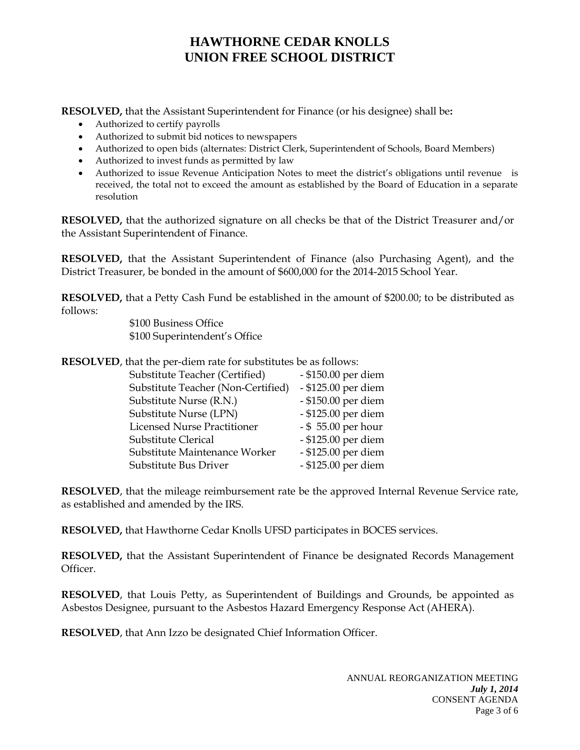**RESOLVED,** that the Assistant Superintendent for Finance (or his designee) shall be**:** 

- Authorized to certify payrolls
- Authorized to submit bid notices to newspapers
- Authorized to open bids (alternates: District Clerk, Superintendent of Schools, Board Members)
- Authorized to invest funds as permitted by law
- Authorized to issue Revenue Anticipation Notes to meet the district's obligations until revenue is received, the total not to exceed the amount as established by the Board of Education in a separate resolution

**RESOLVED,** that the authorized signature on all checks be that of the District Treasurer and/or the Assistant Superintendent of Finance.

**RESOLVED,** that the Assistant Superintendent of Finance (also Purchasing Agent), and the District Treasurer, be bonded in the amount of \$600,000 for the 2014-2015 School Year.

**RESOLVED,** that a Petty Cash Fund be established in the amount of \$200.00; to be distributed as follows:

 \$100 Business Office \$100 Superintendent's Office

**RESOLVED**, that the per-diem rate for substitutes be as follows:

| Substitute Teacher (Certified)     | - \$150.00 per diem |
|------------------------------------|---------------------|
| Substitute Teacher (Non-Certified) | - \$125.00 per diem |
| Substitute Nurse (R.N.)            | - \$150.00 per diem |
| Substitute Nurse (LPN)             | - \$125.00 per diem |
| <b>Licensed Nurse Practitioner</b> | - \$55.00 per hour  |
| Substitute Clerical                | - \$125.00 per diem |
| Substitute Maintenance Worker      | - \$125.00 per diem |
| Substitute Bus Driver              | - \$125.00 per diem |

**RESOLVED**, that the mileage reimbursement rate be the approved Internal Revenue Service rate, as established and amended by the IRS.

**RESOLVED,** that Hawthorne Cedar Knolls UFSD participates in BOCES services.

**RESOLVED,** that the Assistant Superintendent of Finance be designated Records Management Officer.

**RESOLVED**, that Louis Petty, as Superintendent of Buildings and Grounds, be appointed as Asbestos Designee, pursuant to the Asbestos Hazard Emergency Response Act (AHERA).

**RESOLVED**, that Ann Izzo be designated Chief Information Officer.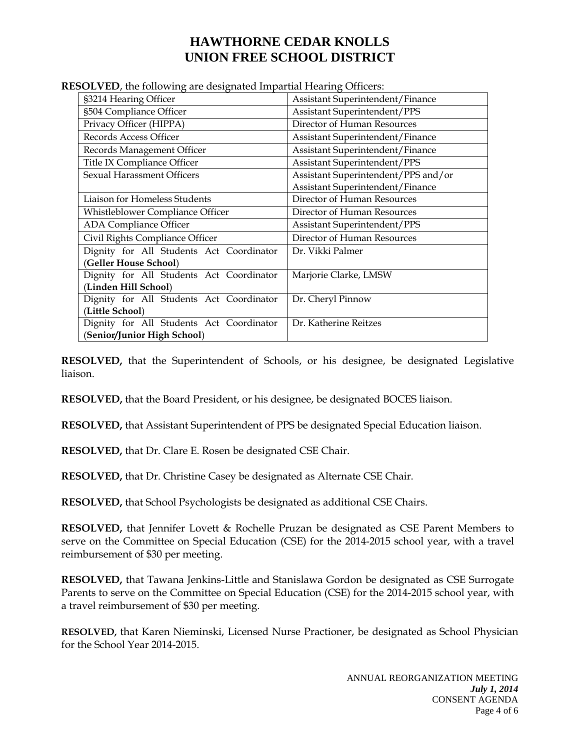| soop was not to the ward along the complete the model of children. |                                     |  |
|--------------------------------------------------------------------|-------------------------------------|--|
| §3214 Hearing Officer                                              | Assistant Superintendent/Finance    |  |
| §504 Compliance Officer                                            | Assistant Superintendent/PPS        |  |
| Privacy Officer (HIPPA)                                            | Director of Human Resources         |  |
| Records Access Officer                                             | Assistant Superintendent/Finance    |  |
| Records Management Officer                                         | Assistant Superintendent/Finance    |  |
| Title IX Compliance Officer                                        | Assistant Superintendent/PPS        |  |
| Sexual Harassment Officers                                         | Assistant Superintendent/PPS and/or |  |
|                                                                    | Assistant Superintendent/Finance    |  |
| Liaison for Homeless Students                                      | Director of Human Resources         |  |
| Whistleblower Compliance Officer                                   | Director of Human Resources         |  |
| <b>ADA Compliance Officer</b>                                      | Assistant Superintendent/PPS        |  |
| Civil Rights Compliance Officer                                    | Director of Human Resources         |  |
| Dignity for All Students Act Coordinator                           | Dr. Vikki Palmer                    |  |
| (Geller House School)                                              |                                     |  |
| Dignity for All Students Act Coordinator                           | Marjorie Clarke, LMSW               |  |
| (Linden Hill School)                                               |                                     |  |
| Dignity for All Students Act Coordinator                           | Dr. Cheryl Pinnow                   |  |
| (Little School)                                                    |                                     |  |
| Dignity for All Students Act Coordinator                           | Dr. Katherine Reitzes               |  |
| (Senior/Junior High School)                                        |                                     |  |

**RESOLVED**, the following are designated Impartial Hearing Officers:

**RESOLVED,** that the Superintendent of Schools, or his designee, be designated Legislative liaison.

**RESOLVED,** that the Board President, or his designee, be designated BOCES liaison.

**RESOLVED,** that Assistant Superintendent of PPS be designated Special Education liaison.

**RESOLVED,** that Dr. Clare E. Rosen be designated CSE Chair.

**RESOLVED,** that Dr. Christine Casey be designated as Alternate CSE Chair.

**RESOLVED,** that School Psychologists be designated as additional CSE Chairs.

**RESOLVED,** that Jennifer Lovett & Rochelle Pruzan be designated as CSE Parent Members to serve on the Committee on Special Education (CSE) for the 2014-2015 school year, with a travel reimbursement of \$30 per meeting.

**RESOLVED,** that Tawana Jenkins-Little and Stanislawa Gordon be designated as CSE Surrogate Parents to serve on the Committee on Special Education (CSE) for the 2014-2015 school year, with a travel reimbursement of \$30 per meeting.

**RESOLVED,** that Karen Nieminski, Licensed Nurse Practioner, be designated as School Physician for the School Year 2014-2015.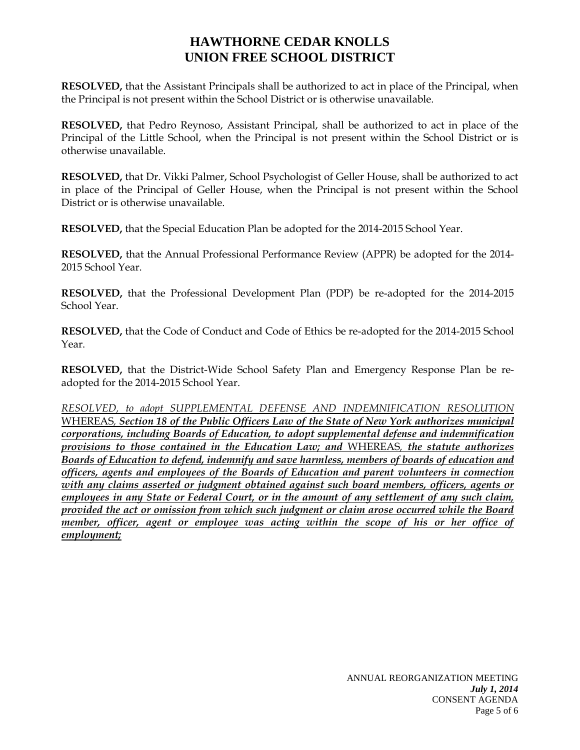**RESOLVED,** that the Assistant Principals shall be authorized to act in place of the Principal, when the Principal is not present within the School District or is otherwise unavailable.

**RESOLVED,** that Pedro Reynoso, Assistant Principal, shall be authorized to act in place of the Principal of the Little School, when the Principal is not present within the School District or is otherwise unavailable.

**RESOLVED,** that Dr. Vikki Palmer, School Psychologist of Geller House, shall be authorized to act in place of the Principal of Geller House, when the Principal is not present within the School District or is otherwise unavailable.

**RESOLVED,** that the Special Education Plan be adopted for the 2014-2015 School Year.

**RESOLVED,** that the Annual Professional Performance Review (APPR) be adopted for the 2014- 2015 School Year.

**RESOLVED,** that the Professional Development Plan (PDP) be re-adopted for the 2014-2015 School Year.

**RESOLVED,** that the Code of Conduct and Code of Ethics be re-adopted for the 2014-2015 School Year.

**RESOLVED,** that the District-Wide School Safety Plan and Emergency Response Plan be readopted for the 2014-2015 School Year.

*RESOLVED, to adopt SUPPLEMENTAL DEFENSE AND INDEMNIFICATION RESOLUTION*  WHEREAS*, Section 18 of the Public Officers Law of the State of New York authorizes municipal corporations, including Boards of Education, to adopt supplemental defense and indemnification provisions to those contained in the Education Law; and* WHEREAS*, the statute authorizes Boards of Education to defend, indemnify and save harmless, members of boards of education and officers, agents and employees of the Boards of Education and parent volunteers in connection with any claims asserted or judgment obtained against such board members, officers, agents or employees in any State or Federal Court, or in the amount of any settlement of any such claim, provided the act or omission from which such judgment or claim arose occurred while the Board member, officer, agent or employee was acting within the scope of his or her office of employment;*